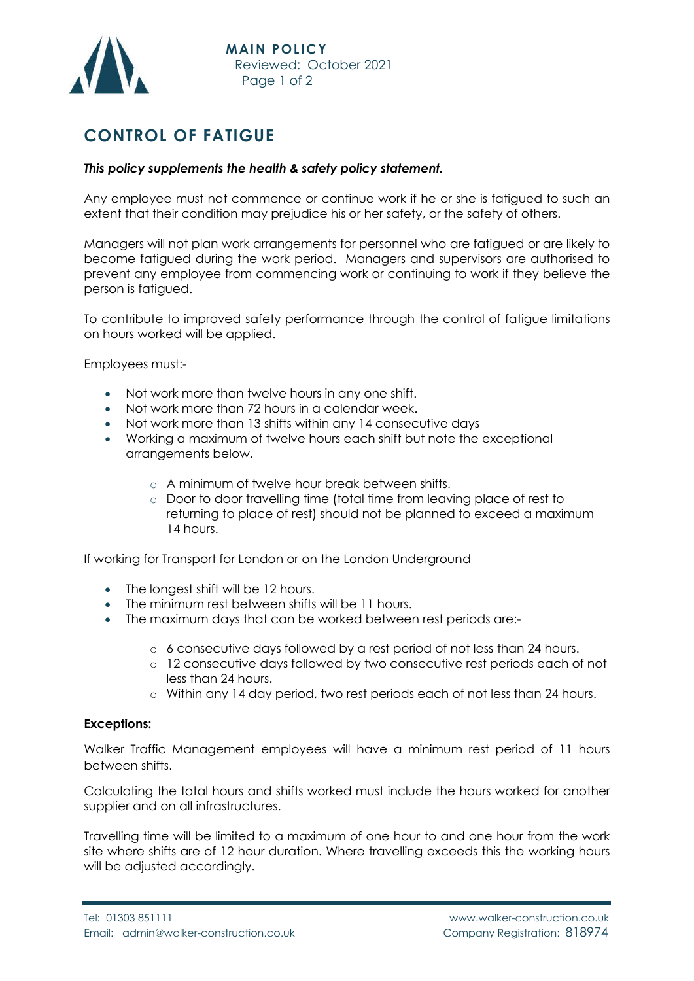

## **CONTROL OF FATIGUE**

## *This policy supplements the health & safety policy statement.*

Any employee must not commence or continue work if he or she is fatigued to such an extent that their condition may prejudice his or her safety, or the safety of others.

Managers will not plan work arrangements for personnel who are fatigued or are likely to become fatigued during the work period. Managers and supervisors are authorised to prevent any employee from commencing work or continuing to work if they believe the person is fatigued.

To contribute to improved safety performance through the control of fatigue limitations on hours worked will be applied.

Employees must:-

- Not work more than twelve hours in any one shift.
- Not work more than 72 hours in a calendar week.
- Not work more than 13 shifts within any 14 consecutive days
- Working a maximum of twelve hours each shift but note the exceptional arrangements below.
	- o A minimum of twelve hour break between shifts.
	- o Door to door travelling time (total time from leaving place of rest to returning to place of rest) should not be planned to exceed a maximum 14 hours.

If working for Transport for London or on the London Underground

- The longest shift will be 12 hours.
- The minimum rest between shifts will be 11 hours.
- The maximum days that can be worked between rest periods are:
	- o 6 consecutive days followed by a rest period of not less than 24 hours.
	- o 12 consecutive days followed by two consecutive rest periods each of not less than 24 hours.
	- o Within any 14 day period, two rest periods each of not less than 24 hours.

## **Exceptions:**

Walker Traffic Management employees will have a minimum rest period of 11 hours between shifts.

Calculating the total hours and shifts worked must include the hours worked for another supplier and on all infrastructures.

Travelling time will be limited to a maximum of one hour to and one hour from the work site where shifts are of 12 hour duration. Where travelling exceeds this the working hours will be adjusted accordingly.